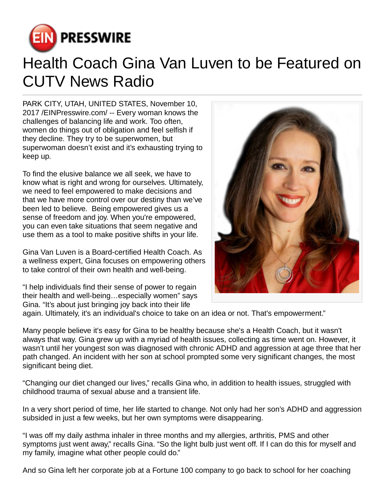

## Health Coach Gina Van Luven to be Featured on CUTV News Radio

PARK CITY, UTAH, UNITED STATES, November 10, 2017 [/EINPresswire.com](http://www.einpresswire.com)/ -- Every woman knows the challenges of balancing life and work. Too often, women do things out of obligation and feel selfish if they decline. They try to be superwomen, but superwoman doesn't exist and it's exhausting trying to keep up.

To find the elusive balance we all seek, we have to know what is right and wrong for ourselves. Ultimately, we need to feel empowered to make decisions and that we have more control over our destiny than we've been led to believe. Being empowered gives us a sense of freedom and joy. When you're empowered, you can even take situations that seem negative and use them as a tool to make positive shifts in your life.

Gina Van Luven is a Board-certified Health Coach. As a wellness expert, Gina focuses on empowering others to take control of their own health and well-being.

"I help individuals find their sense of power to regain their health and well-being…especially women" says Gina. "It's about just bringing joy back into their life



again. Ultimately, it's an individual's choice to take on an idea or not. That's empowerment."

Many people believe it's easy for Gina to be healthy because she's a Health Coach, but it wasn't always that way. Gina grew up with a myriad of health issues, collecting as time went on. However, it wasn't until her youngest son was diagnosed with chronic ADHD and aggression at age three that her path changed. An incident with her son at school prompted some very significant changes, the most significant being diet.

"Changing our diet changed our lives," recalls Gina who, in addition to health issues, struggled with childhood trauma of sexual abuse and a transient life.

In a very short period of time, her life started to change. Not only had her son's ADHD and aggression subsided in just a few weeks, but her own symptoms were disappearing.

"I was off my daily asthma inhaler in three months and my allergies, arthritis, PMS and other symptoms just went away," recalls Gina. "So the light bulb just went off. If I can do this for myself and my family, imagine what other people could do."

And so Gina left her corporate job at a Fortune 100 company to go back to school for her coaching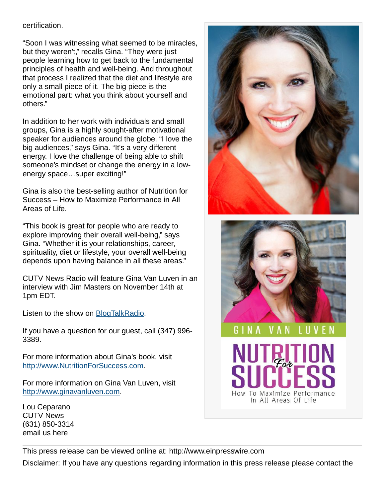## certification.

"Soon I was witnessing what seemed to be miracles, but they weren't," recalls Gina. "They were just people learning how to get back to the fundamental principles of health and well-being. And throughout that process I realized that the diet and lifestyle are only a small piece of it. The big piece is the emotional part: what you think about yourself and others."

In addition to her work with individuals and small groups, Gina is a highly sought-after motivational speaker for audiences around the globe. "I love the big audiences," says Gina. "It's a very different energy. I love the challenge of being able to shift someone's mindset or change the energy in a lowenergy space…super exciting!"

Gina is also the best-selling author of Nutrition for Success – How to Maximize Performance in All Areas of Life.

"This book is great for people who are ready to explore improving their overall well-being," says Gina. "Whether it is your relationships, career, spirituality, diet or lifestyle, your overall well-being depends upon having balance in all these areas."

CUTV News Radio will feature Gina Van Luven in an interview with Jim Masters on November 14th at 1pm EDT.

Listen to the show on [BlogTalkRadio](http://www.blogtalkradio.com/cutvnewsradio/2017/11/14/cutv-news-radio-spotlights-health-coach-gina-van-luven).

If you have a question for our guest, call (347) 996- 3389.

For more information about Gina's book, visit <http://www.NutritionForSuccess.com>.

For more information on Gina Van Luven, visit <http://www.ginavanluven.com>.

Lou Ceparano CUTV News (631) 850-3314 [email us here](http://www.einpresswire.com/contact_author/2403137)





VAN LUVEN

To Maximize Performance How In All Areas Of Life

GINA

This press release can be viewed online at: [http://www.einpresswire.com](http://www.einpresswire.com/) Disclaimer: If you have any questions regarding information in this press release please contact the